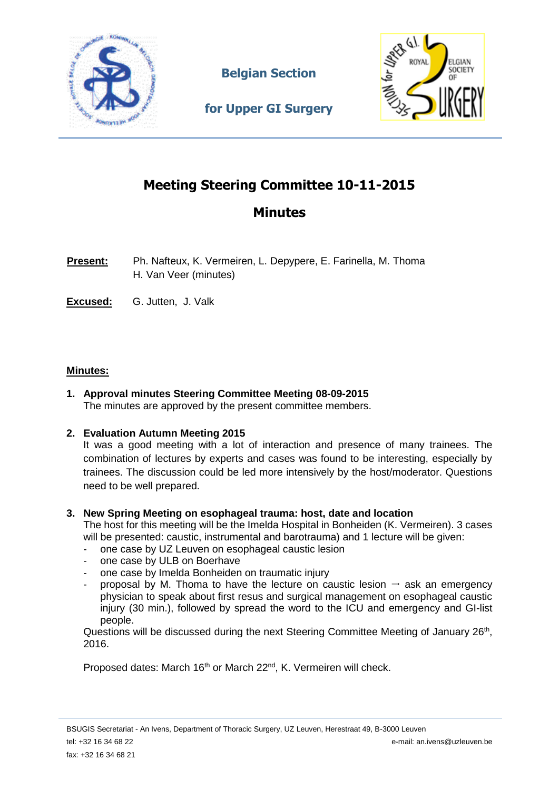

**Belgian Section** 



**for Upper GI Surgery**

# **Meeting Steering Committee 10-11-2015**

# **Minutes**

- **Present:** Ph. Nafteux, K. Vermeiren, L. Depypere, E. Farinella, M. Thoma H. Van Veer (minutes)
- **Excused:** G. Jutten, J. Valk

# **Minutes:**

**1. Approval minutes Steering Committee Meeting 08-09-2015** The minutes are approved by the present committee members.

# **2. Evaluation Autumn Meeting 2015**

It was a good meeting with a lot of interaction and presence of many trainees. The combination of lectures by experts and cases was found to be interesting, especially by trainees. The discussion could be led more intensively by the host/moderator. Questions need to be well prepared.

# **3. New Spring Meeting on esophageal trauma: host, date and location**

The host for this meeting will be the Imelda Hospital in Bonheiden (K. Vermeiren). 3 cases will be presented: caustic, instrumental and barotrauma) and 1 lecture will be given:

- one case by UZ Leuven on esophageal caustic lesion
- one case by ULB on Boerhave
- one case by Imelda Bonheiden on traumatic injury
- proposal by M. Thoma to have the lecture on caustic lesion  $\rightarrow$  ask an emergency physician to speak about first resus and surgical management on esophageal caustic injury (30 min.), followed by spread the word to the ICU and emergency and GI-list people.

Questions will be discussed during the next Steering Committee Meeting of January 26<sup>th</sup>, 2016.

Proposed dates: March 16<sup>th</sup> or March 22<sup>nd</sup>, K. Vermeiren will check.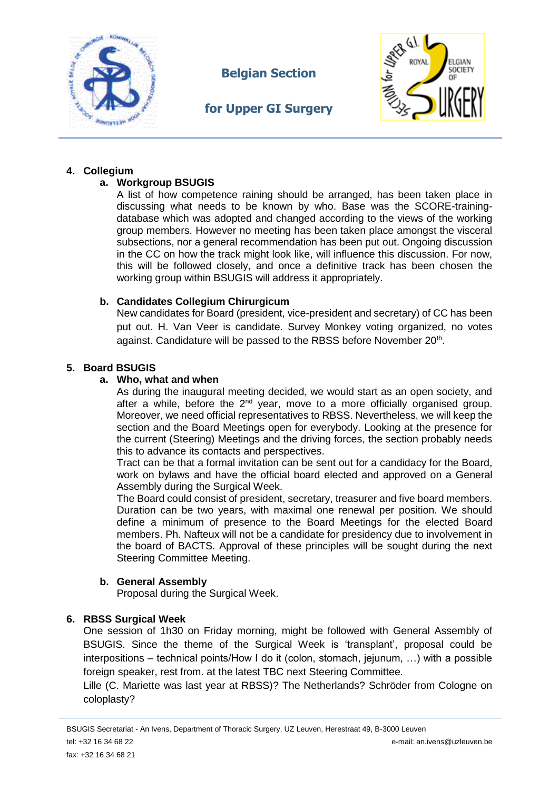

**Belgian Section** 

# **for Upper GI Surgery**



# **4. Collegium**

# **a. Workgroup BSUGIS**

A list of how competence raining should be arranged, has been taken place in discussing what needs to be known by who. Base was the SCORE-trainingdatabase which was adopted and changed according to the views of the working group members. However no meeting has been taken place amongst the visceral subsections, nor a general recommendation has been put out. Ongoing discussion in the CC on how the track might look like, will influence this discussion. For now, this will be followed closely, and once a definitive track has been chosen the working group within BSUGIS will address it appropriately.

# **b. Candidates Collegium Chirurgicum**

New candidates for Board (president, vice-president and secretary) of CC has been put out. H. Van Veer is candidate. Survey Monkey voting organized, no votes against. Candidature will be passed to the RBSS before November 20<sup>th</sup>.

# **5. Board BSUGIS**

# **a. Who, what and when**

As during the inaugural meeting decided, we would start as an open society, and after a while, before the  $2^{nd}$  year, move to a more officially organised group. Moreover, we need official representatives to RBSS. Nevertheless, we will keep the section and the Board Meetings open for everybody. Looking at the presence for the current (Steering) Meetings and the driving forces, the section probably needs this to advance its contacts and perspectives.

Tract can be that a formal invitation can be sent out for a candidacy for the Board, work on bylaws and have the official board elected and approved on a General Assembly during the Surgical Week.

The Board could consist of president, secretary, treasurer and five board members. Duration can be two years, with maximal one renewal per position. We should define a minimum of presence to the Board Meetings for the elected Board members. Ph. Nafteux will not be a candidate for presidency due to involvement in the board of BACTS. Approval of these principles will be sought during the next Steering Committee Meeting.

# **b. General Assembly**

Proposal during the Surgical Week.

# **6. RBSS Surgical Week**

One session of 1h30 on Friday morning, might be followed with General Assembly of BSUGIS. Since the theme of the Surgical Week is 'transplant', proposal could be interpositions – technical points/How I do it (colon, stomach, jejunum, …) with a possible foreign speaker, rest from. at the latest TBC next Steering Committee.

Lille (C. Mariette was last year at RBSS)? The Netherlands? Schröder from Cologne on coloplasty?